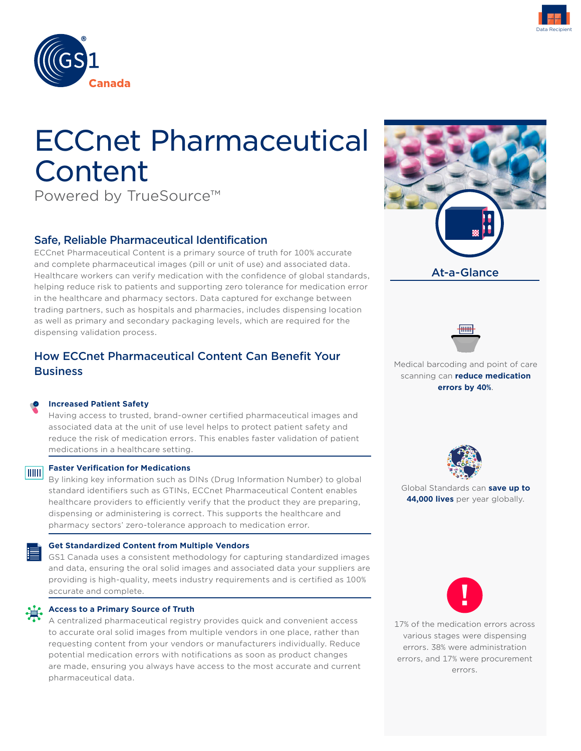



# ECCnet Pharmaceutical Content

Powered by TrueSource™

# Safe, Reliable Pharmaceutical Identification

ECCnet Pharmaceutical Content is a primary source of truth for 100% accurate and complete pharmaceutical images (pill or unit of use) and associated data. Healthcare workers can verify medication with the confidence of global standards, helping reduce risk to patients and supporting zero tolerance for medication error in the healthcare and pharmacy sectors. Data captured for exchange between trading partners, such as hospitals and pharmacies, includes dispensing location as well as primary and secondary packaging levels, which are required for the dispensing validation process.

# How ECCnet Pharmaceutical Content Can Benefit Your **Business**

#### **Increased Patient Safety**

Having access to trusted, brand-owner certified pharmaceutical images and associated data at the unit of use level helps to protect patient safety and reduce the risk of medication errors. This enables faster validation of patient medications in a healthcare setting.

# **Faster Verification for Medications**

By linking key information such as DINs (Drug Information Number) to global standard identifiers such as GTINs, ECCnet Pharmaceutical Content enables healthcare providers to efficiently verify that the product they are preparing, dispensing or administering is correct. This supports the healthcare and pharmacy sectors' zero-tolerance approach to medication error.

#### **Get Standardized Content from Multiple Vendors**

GS1 Canada uses a consistent methodology for capturing standardized images and data, ensuring the oral solid images and associated data your suppliers are providing is high-quality, meets industry requirements and is certified as 100% accurate and complete.



#### **Access to a Primary Source of Truth**

A centralized pharmaceutical registry provides quick and convenient access to accurate oral solid images from multiple vendors in one place, rather than requesting content from your vendors or manufacturers individually. Reduce potential medication errors with notifications as soon as product changes are made, ensuring you always have access to the most accurate and current pharmaceutical data.





Medical barcoding and point of care scanning can **reduce medication errors by 40%**.



Global Standards can **save up to 44,000 lives** per year globally.



17% of the medication errors across various stages were dispensing errors. 38% were administration errors, and 17% were procurement errors.